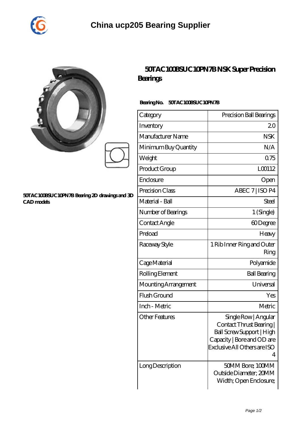

| ŷ |  |  |
|---|--|--|
| y |  |  |
|   |  |  |

## **[50TAC100BSUC10PN7B Bearing 2D drawings and 3D](https://esctools.com/pic-890846.html) [CAD models](https://esctools.com/pic-890846.html)**

## **[50TAC100BSUC10PN7B NSK Super Precision](https://esctools.com/super-precision-bearings/50tac100bsuc10pn7b.html) [Bearings](https://esctools.com/super-precision-bearings/50tac100bsuc10pn7b.html)**

## **Bearing No. 50TAC100BSUC10PN7B**

| Category              | Precision Ball Bearings                                                                                                                        |
|-----------------------|------------------------------------------------------------------------------------------------------------------------------------------------|
| Inventory             | 20                                                                                                                                             |
| Manufacturer Name     | <b>NSK</b>                                                                                                                                     |
| Minimum Buy Quantity  | N/A                                                                                                                                            |
| Weight                | 0.75                                                                                                                                           |
| Product Group         | L00112                                                                                                                                         |
| Enclosure             | Open                                                                                                                                           |
| Precision Class       | ABEC 7   ISO P4                                                                                                                                |
| Material - Ball       | Steel                                                                                                                                          |
| Number of Bearings    | 1 (Single)                                                                                                                                     |
| Contact Angle         | 60Degree                                                                                                                                       |
| Preload               | Heavy                                                                                                                                          |
| Raceway Style         | 1 Rib Inner Ring and Outer<br>Ring                                                                                                             |
| Cage Material         | Polyamide                                                                                                                                      |
| Rolling Element       | <b>Ball Bearing</b>                                                                                                                            |
| Mounting Arrangement  | Universal                                                                                                                                      |
| Flush Ground          | Yes                                                                                                                                            |
| Inch - Metric         | Metric                                                                                                                                         |
| <b>Other Features</b> | Single Row   Angular<br>Contact Thrust Bearing<br>Ball Screw Support   High<br>Capacity   Bore and OD are<br>Exclusive All Others are ISO<br>4 |
| Long Description      | 50MM Bore; 100MM<br>Outside Diameter; 20MM<br>Width; Open Enclosure;                                                                           |